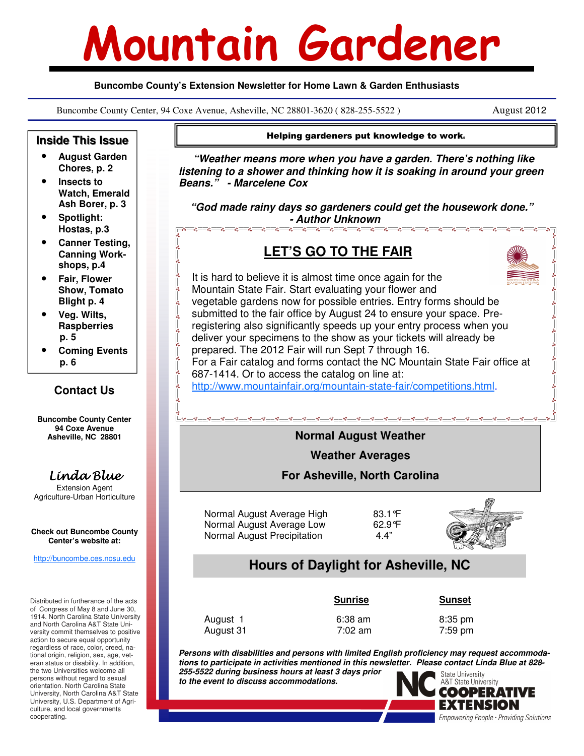# Mountain Gardener

#### **Buncombe County's Extension Newsletter for Home Lawn & Garden Enthusiasts**

Buncombe County Center, 94 Coxe Avenue, Asheville, NC 28801-3620 ( 828-255-5522 ) August 2012

University, U.S. Department of Agriculture, and local governments

cooperating.



EXTENSION Empowering People · Providing Solutions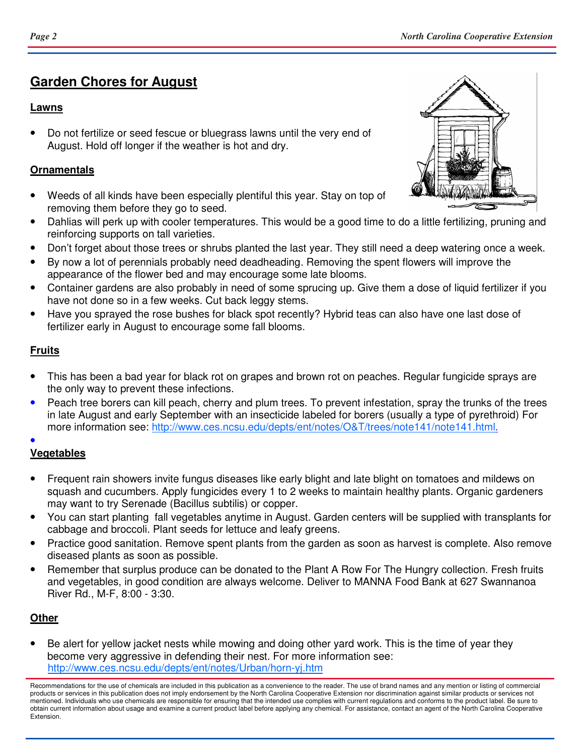# **Garden Chores for August**

#### **Lawns**

• Do not fertilize or seed fescue or bluegrass lawns until the very end of August. Hold off longer if the weather is hot and dry.

#### **Ornamentals**

- Weeds of all kinds have been especially plentiful this year. Stay on top of removing them before they go to seed.
- Dahlias will perk up with cooler temperatures. This would be a good time to do a little fertilizing, pruning and reinforcing supports on tall varieties.
- Don't forget about those trees or shrubs planted the last year. They still need a deep watering once a week.
- By now a lot of perennials probably need deadheading. Removing the spent flowers will improve the appearance of the flower bed and may encourage some late blooms.
- Container gardens are also probably in need of some sprucing up. Give them a dose of liquid fertilizer if you have not done so in a few weeks. Cut back leggy stems.
- Have you sprayed the rose bushes for black spot recently? Hybrid teas can also have one last dose of fertilizer early in August to encourage some fall blooms.

### **Fruits**

- This has been a bad year for black rot on grapes and brown rot on peaches. Regular fungicide sprays are the only way to prevent these infections.
- Peach tree borers can kill peach, cherry and plum trees. To prevent infestation, spray the trunks of the trees in late August and early September with an insecticide labeled for borers (usually a type of pyrethroid) For more information see: http://www.ces.ncsu.edu/depts/ent/notes/O&T/trees/note141/note141.html. •

## **Vegetables**

- Frequent rain showers invite fungus diseases like early blight and late blight on tomatoes and mildews on squash and cucumbers. Apply fungicides every 1 to 2 weeks to maintain healthy plants. Organic gardeners may want to try Serenade (Bacillus subtilis) or copper.
- You can start planting fall vegetables anytime in August. Garden centers will be supplied with transplants for cabbage and broccoli. Plant seeds for lettuce and leafy greens.
- Practice good sanitation. Remove spent plants from the garden as soon as harvest is complete. Also remove diseased plants as soon as possible.
- Remember that surplus produce can be donated to the Plant A Row For The Hungry collection. Fresh fruits and vegetables, in good condition are always welcome. Deliver to MANNA Food Bank at 627 Swannanoa River Rd., M-F, 8:00 - 3:30.

## **Other**

• Be alert for yellow jacket nests while mowing and doing other yard work. This is the time of year they become very aggressive in defending their nest. For more information see: http://www.ces.ncsu.edu/depts/ent/notes/Urban/horn-yj.htm



Recommendations for the use of chemicals are included in this publication as a convenience to the reader. The use of brand names and any mention or listing of commercial products or services in this publication does not imply endorsement by the North Carolina Cooperative Extension nor discrimination against similar products or services not mentioned. Individuals who use chemicals are responsible for ensuring that the intended use complies with current regulations and conforms to the product label. Be sure to obtain current information about usage and examine a current product label before applying any chemical. For assistance, contact an agent of the North Carolina Cooperative Extension.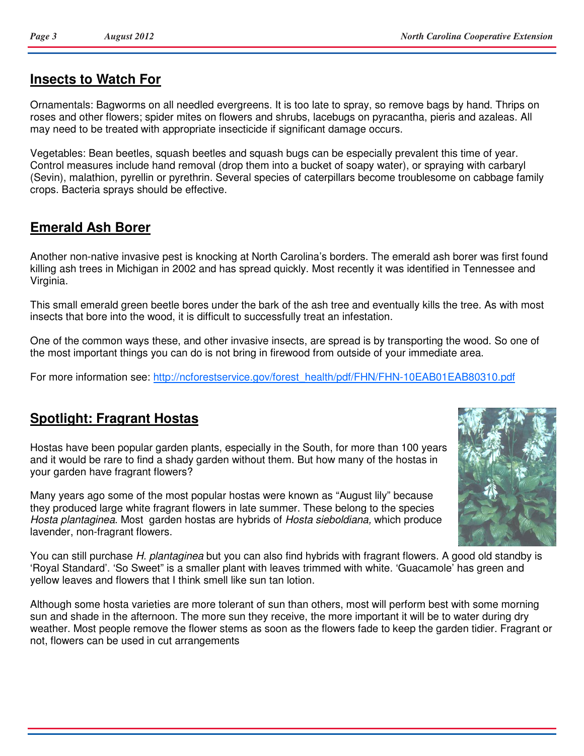## **Insects to Watch For**

Ornamentals: Bagworms on all needled evergreens. It is too late to spray, so remove bags by hand. Thrips on roses and other flowers; spider mites on flowers and shrubs, lacebugs on pyracantha, pieris and azaleas. All may need to be treated with appropriate insecticide if significant damage occurs.

Vegetables: Bean beetles, squash beetles and squash bugs can be especially prevalent this time of year. Control measures include hand removal (drop them into a bucket of soapy water), or spraying with carbaryl (Sevin), malathion, pyrellin or pyrethrin. Several species of caterpillars become troublesome on cabbage family crops. Bacteria sprays should be effective.

# **Emerald Ash Borer**

Another non-native invasive pest is knocking at North Carolina's borders. The emerald ash borer was first found killing ash trees in Michigan in 2002 and has spread quickly. Most recently it was identified in Tennessee and Virginia.

This small emerald green beetle bores under the bark of the ash tree and eventually kills the tree. As with most insects that bore into the wood, it is difficult to successfully treat an infestation.

One of the common ways these, and other invasive insects, are spread is by transporting the wood. So one of the most important things you can do is not bring in firewood from outside of your immediate area.

For more information see: http://ncforestservice.gov/forest\_health/pdf/FHN/FHN-10EAB01EAB80310.pdf

# **Spotlight: Fragrant Hostas**

Hostas have been popular garden plants, especially in the South, for more than 100 years and it would be rare to find a shady garden without them. But how many of the hostas in your garden have fragrant flowers?

Many years ago some of the most popular hostas were known as "August lily" because they produced large white fragrant flowers in late summer. These belong to the species Hosta plantaginea. Most garden hostas are hybrids of Hosta sieboldiana, which produce lavender, non-fragrant flowers.

You can still purchase H. plantaginea but you can also find hybrids with fragrant flowers. A good old standby is 'Royal Standard'. 'So Sweet" is a smaller plant with leaves trimmed with white. 'Guacamole' has green and yellow leaves and flowers that I think smell like sun tan lotion.

Although some hosta varieties are more tolerant of sun than others, most will perform best with some morning sun and shade in the afternoon. The more sun they receive, the more important it will be to water during dry weather. Most people remove the flower stems as soon as the flowers fade to keep the garden tidier. Fragrant or not, flowers can be used in cut arrangements

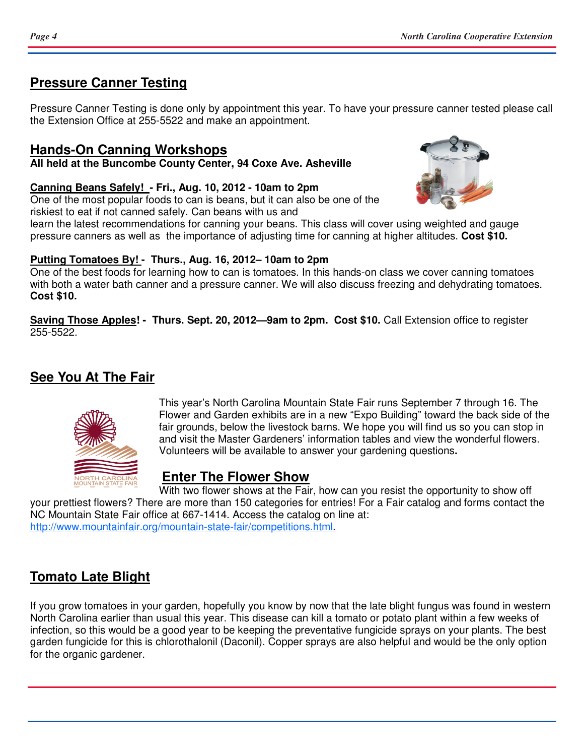# **Pressure Canner Testing**

Pressure Canner Testing is done only by appointment this year. To have your pressure canner tested please call the Extension Office at 255-5522 and make an appointment.

## **Hands-On Canning Workshops**

**All held at the Buncombe County Center, 94 Coxe Ave. Asheville** 

**Canning Beans Safely! - Fri., Aug. 10, 2012 - 10am to 2pm** 

One of the most popular foods to can is beans, but it can also be one of the riskiest to eat if not canned safely. Can beans with us and



learn the latest recommendations for canning your beans. This class will cover using weighted and gauge pressure canners as well as the importance of adjusting time for canning at higher altitudes. **Cost \$10.** 

### **Putting Tomatoes By! - Thurs., Aug. 16, 2012– 10am to 2pm**

One of the best foods for learning how to can is tomatoes. In this hands-on class we cover canning tomatoes with both a water bath canner and a pressure canner. We will also discuss freezing and dehydrating tomatoes. **Cost \$10.** 

**Saving Those Apples! - Thurs. Sept. 20, 2012—9am to 2pm. Cost \$10.** Call Extension office to register 255-5522.

# **See You At The Fair**



This year's North Carolina Mountain State Fair runs September 7 through 16. The Flower and Garden exhibits are in a new "Expo Building" toward the back side of the fair grounds, below the livestock barns. We hope you will find us so you can stop in and visit the Master Gardeners' information tables and view the wonderful flowers. Volunteers will be available to answer your gardening questions**.** 

# **Enter The Flower Show**

With two flower shows at the Fair, how can you resist the opportunity to show off your prettiest flowers? There are more than 150 categories for entries! For a Fair catalog and forms contact the NC Mountain State Fair office at 667-1414. Access the catalog on line at: http://www.mountainfair.org/mountain-state-fair/competitions.html.

# **Tomato Late Blight**

If you grow tomatoes in your garden, hopefully you know by now that the late blight fungus was found in western North Carolina earlier than usual this year. This disease can kill a tomato or potato plant within a few weeks of infection, so this would be a good year to be keeping the preventative fungicide sprays on your plants. The best garden fungicide for this is chlorothalonil (Daconil). Copper sprays are also helpful and would be the only option for the organic gardener.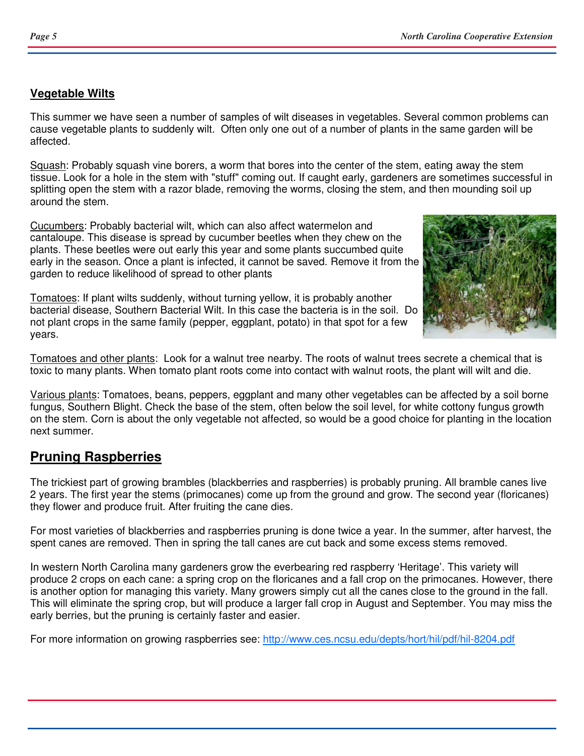### **Vegetable Wilts**

This summer we have seen a number of samples of wilt diseases in vegetables. Several common problems can cause vegetable plants to suddenly wilt. Often only one out of a number of plants in the same garden will be affected.

Squash: Probably squash vine borers, a worm that bores into the center of the stem, eating away the stem tissue. Look for a hole in the stem with "stuff" coming out. If caught early, gardeners are sometimes successful in splitting open the stem with a razor blade, removing the worms, closing the stem, and then mounding soil up around the stem.

Cucumbers: Probably bacterial wilt, which can also affect watermelon and cantaloupe. This disease is spread by cucumber beetles when they chew on the plants. These beetles were out early this year and some plants succumbed quite early in the season. Once a plant is infected, it cannot be saved. Remove it from the garden to reduce likelihood of spread to other plants

Tomatoes: If plant wilts suddenly, without turning yellow, it is probably another bacterial disease, Southern Bacterial Wilt. In this case the bacteria is in the soil. Do not plant crops in the same family (pepper, eggplant, potato) in that spot for a few years.



Tomatoes and other plants: Look for a walnut tree nearby. The roots of walnut trees secrete a chemical that is toxic to many plants. When tomato plant roots come into contact with walnut roots, the plant will wilt and die.

Various plants: Tomatoes, beans, peppers, eggplant and many other vegetables can be affected by a soil borne fungus, Southern Blight. Check the base of the stem, often below the soil level, for white cottony fungus growth on the stem. Corn is about the only vegetable not affected, so would be a good choice for planting in the location next summer.

# **Pruning Raspberries**

The trickiest part of growing brambles (blackberries and raspberries) is probably pruning. All bramble canes live 2 years. The first year the stems (primocanes) come up from the ground and grow. The second year (floricanes) they flower and produce fruit. After fruiting the cane dies.

For most varieties of blackberries and raspberries pruning is done twice a year. In the summer, after harvest, the spent canes are removed. Then in spring the tall canes are cut back and some excess stems removed.

In western North Carolina many gardeners grow the everbearing red raspberry 'Heritage'. This variety will produce 2 crops on each cane: a spring crop on the floricanes and a fall crop on the primocanes. However, there is another option for managing this variety. Many growers simply cut all the canes close to the ground in the fall. This will eliminate the spring crop, but will produce a larger fall crop in August and September. You may miss the early berries, but the pruning is certainly faster and easier.

For more information on growing raspberries see: http://www.ces.ncsu.edu/depts/hort/hil/pdf/hil-8204.pdf